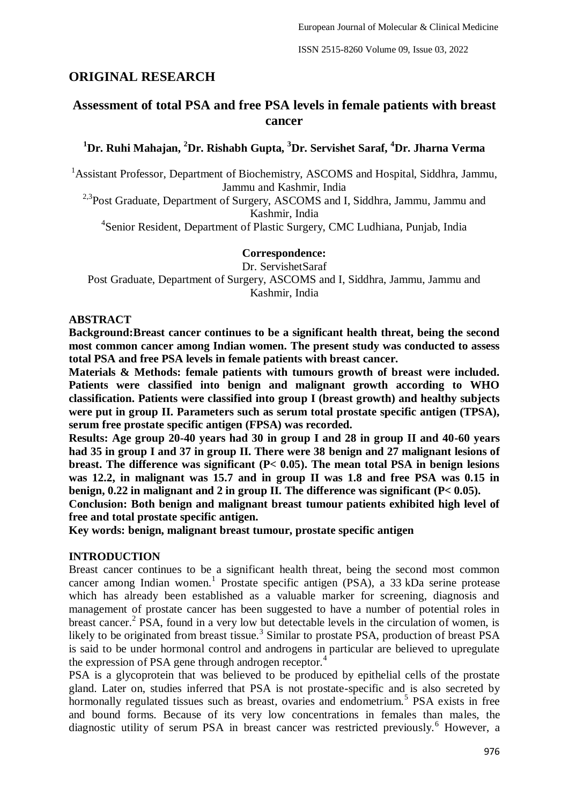# **ORIGINAL RESEARCH**

## **Assessment of total PSA and free PSA levels in female patients with breast cancer**

## **<sup>1</sup>Dr. Ruhi Mahajan, <sup>2</sup>Dr. Rishabh Gupta, <sup>3</sup>Dr. Servishet Saraf, <sup>4</sup>Dr. Jharna Verma**

<sup>1</sup> Assistant Professor, Department of Biochemistry, ASCOMS and Hospital, Siddhra, Jammu, Jammu and Kashmir, India

<sup>2,3</sup>Post Graduate, Department of Surgery, ASCOMS and I, Siddhra, Jammu, Jammu and Kashmir, India

4 Senior Resident, Department of Plastic Surgery, CMC Ludhiana, Punjab, India

### **Correspondence:**

Dr. ServishetSaraf

Post Graduate, Department of Surgery, ASCOMS and I, Siddhra, Jammu, Jammu and Kashmir, India

### **ABSTRACT**

**Background:Breast cancer continues to be a significant health threat, being the second most common cancer among Indian women. The present study was conducted to assess total PSA and free PSA levels in female patients with breast cancer.**

**Materials & Methods: female patients with tumours growth of breast were included. Patients were classified into benign and malignant growth according to WHO classification. Patients were classified into group I (breast growth) and healthy subjects were put in group II. Parameters such as serum total prostate specific antigen (TPSA), serum free prostate specific antigen (FPSA) was recorded.** 

**Results: Age group 20-40 years had 30 in group I and 28 in group II and 40-60 years had 35 in group I and 37 in group II. There were 38 benign and 27 malignant lesions of breast. The difference was significant (P< 0.05). The mean total PSA in benign lesions was 12.2, in malignant was 15.7 and in group II was 1.8 and free PSA was 0.15 in benign, 0.22 in malignant and 2 in group II. The difference was significant (P< 0.05).**

**Conclusion: Both benign and malignant breast tumour patients exhibited high level of free and total prostate specific antigen.**

**Key words: benign, malignant breast tumour, prostate specific antigen**

### **INTRODUCTION**

Breast cancer continues to be a significant health threat, being the second most common cancer among Indian women.<sup>1</sup> Prostate specific antigen (PSA), a 33 kDa serine protease which has already been established as a valuable marker for screening, diagnosis and management of prostate cancer has been suggested to have a number of potential roles in breast cancer.<sup>2</sup> PSA, found in a very low but detectable levels in the circulation of women, is likely to be originated from breast tissue.<sup>3</sup> Similar to prostate PSA, production of breast PSA is said to be under hormonal control and androgens in particular are believed to upregulate the expression of PSA gene through androgen receptor.<sup>4</sup>

PSA is a glycoprotein that was believed to be produced by epithelial cells of the prostate gland. Later on, studies inferred that PSA is not prostate-specific and is also secreted by hormonally regulated tissues such as breast, ovaries and endometrium.<sup>5</sup> PSA exists in free and bound forms. Because of its very low concentrations in females than males, the diagnostic utility of serum PSA in breast cancer was restricted previously.<sup>6</sup> However, a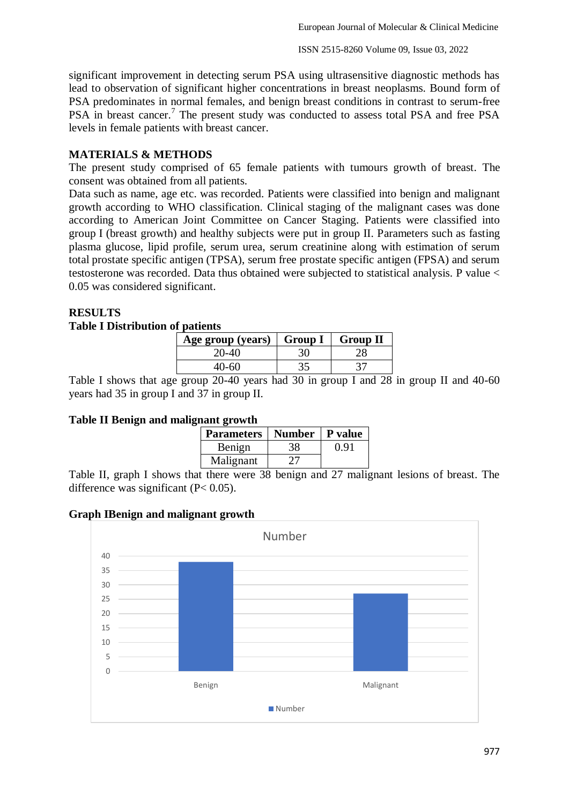significant improvement in detecting serum PSA using ultrasensitive diagnostic methods has lead to observation of significant higher concentrations in breast neoplasms. Bound form of PSA predominates in normal females, and benign breast conditions in contrast to serum-free PSA in breast cancer.<sup>7</sup> The present study was conducted to assess total PSA and free PSA levels in female patients with breast cancer.

### **MATERIALS & METHODS**

The present study comprised of 65 female patients with tumours growth of breast. The consent was obtained from all patients.

Data such as name, age etc. was recorded. Patients were classified into benign and malignant growth according to WHO classification. Clinical staging of the malignant cases was done according to American Joint Committee on Cancer Staging. Patients were classified into group I (breast growth) and healthy subjects were put in group II. Parameters such as fasting plasma glucose, lipid profile, serum urea, serum creatinine along with estimation of serum total prostate specific antigen (TPSA), serum free prostate specific antigen (FPSA) and serum testosterone was recorded. Data thus obtained were subjected to statistical analysis. P value < 0.05 was considered significant.

### **RESULTS**

### **Table I Distribution of patients**

| Age group (years) $\vert$ Group I | <b>Group II</b> |
|-----------------------------------|-----------------|
| 20-40                             |                 |
|                                   |                 |

Table I shows that age group 20-40 years had 30 in group I and 28 in group II and 40-60 years had 35 in group I and 37 in group II.

### **Table II Benign and malignant growth**

| <b>Parameters</b> | <b>Number</b> | P value |
|-------------------|---------------|---------|
| Benign            | 38            | 0.91    |
| Malignant         | 77 L          |         |

Table II, graph I shows that there were 38 benign and 27 malignant lesions of breast. The difference was significant  $(P< 0.05)$ .

### **Graph IBenign and malignant growth**

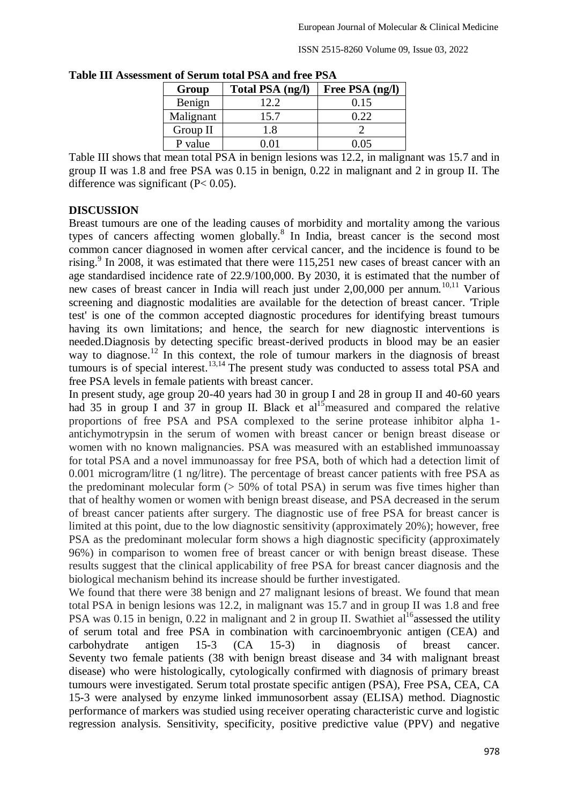| IIt of Scruin total 1 SA and H cc 1 SA |                  |                 |  |
|----------------------------------------|------------------|-----------------|--|
| Group                                  | Total PSA (ng/l) | Free PSA (ng/l) |  |
| Benign                                 | 12.2             | 0.15            |  |
| Malignant                              | 15.7             | 0.22            |  |
| Group II                               | 1.8              |                 |  |
| P value                                | 0.01             | 0.05            |  |
|                                        |                  |                 |  |

**Table III Assessment of Serum total PSA and free PSA**

Table III shows that mean total PSA in benign lesions was 12.2, in malignant was 15.7 and in group II was 1.8 and free PSA was 0.15 in benign, 0.22 in malignant and 2 in group II. The difference was significant  $(P< 0.05)$ .

### **DISCUSSION**

Breast tumours are one of the leading causes of morbidity and mortality among the various types of cancers affecting women globally.<sup>8</sup> In India, breast cancer is the second most common cancer diagnosed in women after cervical cancer, and the incidence is found to be rising.<sup>9</sup> In 2008, it was estimated that there were  $115,251$  new cases of breast cancer with an age standardised incidence rate of 22.9/100,000. By 2030, it is estimated that the number of new cases of breast cancer in India will reach just under  $2,00,000$  per annum.<sup>10,11</sup> Various screening and diagnostic modalities are available for the detection of breast cancer. 'Triple test' is one of the common accepted diagnostic procedures for identifying breast tumours having its own limitations; and hence, the search for new diagnostic interventions is needed.Diagnosis by detecting specific breast-derived products in blood may be an easier way to diagnose.<sup>12</sup> In this context, the role of tumour markers in the diagnosis of breast tumours is of special interest.<sup>13,14</sup> The present study was conducted to assess total PSA and free PSA levels in female patients with breast cancer.

In present study, age group 20-40 years had 30 in group I and 28 in group II and 40-60 years had 35 in group I and 37 in group II. Black et al<sup>15</sup> measured and compared the relative proportions of free PSA and PSA complexed to the serine protease inhibitor alpha 1 antichymotrypsin in the serum of women with breast cancer or benign breast disease or women with no known malignancies. PSA was measured with an established immunoassay for total PSA and a novel immunoassay for free PSA, both of which had a detection limit of 0.001 microgram/litre (1 ng/litre). The percentage of breast cancer patients with free PSA as the predominant molecular form  $(> 50\%$  of total PSA) in serum was five times higher than that of healthy women or women with benign breast disease, and PSA decreased in the serum of breast cancer patients after surgery. The diagnostic use of free PSA for breast cancer is limited at this point, due to the low diagnostic sensitivity (approximately 20%); however, free PSA as the predominant molecular form shows a high diagnostic specificity (approximately 96%) in comparison to women free of breast cancer or with benign breast disease. These results suggest that the clinical applicability of free PSA for breast cancer diagnosis and the biological mechanism behind its increase should be further investigated.

We found that there were 38 benign and 27 malignant lesions of breast. We found that mean total PSA in benign lesions was 12.2, in malignant was 15.7 and in group II was 1.8 and free PSA was 0.15 in benign, 0.22 in malignant and 2 in group II. Swathiet  $a^{16}$  assessed the utility of serum total and free PSA in combination with carcinoembryonic antigen (CEA) and carbohydrate antigen 15-3 (CA 15-3) in diagnosis of breast cancer. Seventy two female patients (38 with benign breast disease and 34 with malignant breast disease) who were histologically, cytologically confirmed with diagnosis of primary breast tumours were investigated. Serum total prostate specific antigen (PSA), Free PSA, CEA, CA 15-3 were analysed by enzyme linked immunosorbent assay (ELISA) method. Diagnostic performance of markers was studied using receiver operating characteristic curve and logistic regression analysis. Sensitivity, specificity, positive predictive value (PPV) and negative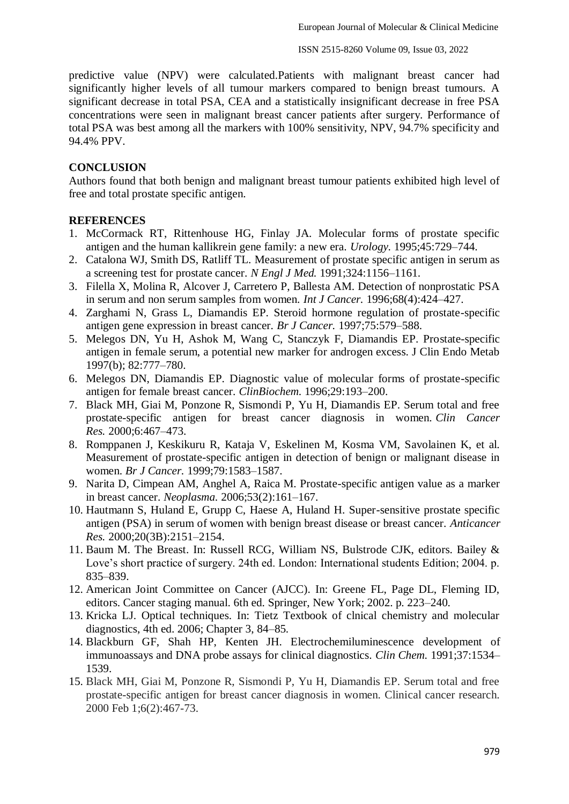predictive value (NPV) were calculated.Patients with malignant breast cancer had significantly higher levels of all tumour markers compared to benign breast tumours. A significant decrease in total PSA, CEA and a statistically insignificant decrease in free PSA concentrations were seen in malignant breast cancer patients after surgery. Performance of total PSA was best among all the markers with 100% sensitivity, NPV, 94.7% specificity and 94.4% PPV.

### **CONCLUSION**

Authors found that both benign and malignant breast tumour patients exhibited high level of free and total prostate specific antigen.

### **REFERENCES**

- 1. McCormack RT, Rittenhouse HG, Finlay JA. Molecular forms of prostate specific antigen and the human kallikrein gene family: a new era. *Urology.* 1995;45:729–744.
- 2. Catalona WJ, Smith DS, Ratliff TL. Measurement of prostate specific antigen in serum as a screening test for prostate cancer. *N Engl J Med.* 1991;324:1156–1161.
- 3. Filella X, Molina R, Alcover J, Carretero P, Ballesta AM. Detection of nonprostatic PSA in serum and non serum samples from women. *Int J Cancer.* 1996;68(4):424–427.
- 4. Zarghami N, Grass L, Diamandis EP. Steroid hormone regulation of prostate-specific antigen gene expression in breast cancer. *Br J Cancer.* 1997;75:579–588.
- 5. Melegos DN, Yu H, Ashok M, Wang C, Stanczyk F, Diamandis EP. Prostate-specific antigen in female serum, a potential new marker for androgen excess. J Clin Endo Metab 1997(b); 82:777–780.
- 6. Melegos DN, Diamandis EP. Diagnostic value of molecular forms of prostate-specific antigen for female breast cancer. *ClinBiochem.* 1996;29:193–200.
- 7. Black MH, Giai M, Ponzone R, Sismondi P, Yu H, Diamandis EP. Serum total and free prostate-specific antigen for breast cancer diagnosis in women. *Clin Cancer Res.* 2000;6:467–473.
- 8. Romppanen J, Keskikuru R, Kataja V, Eskelinen M, Kosma VM, Savolainen K, et al. Measurement of prostate-specific antigen in detection of benign or malignant disease in women. *Br J Cancer.* 1999;79:1583–1587.
- 9. Narita D, Cimpean AM, Anghel A, Raica M. Prostate-specific antigen value as a marker in breast cancer. *Neoplasma.* 2006;53(2):161–167.
- 10. Hautmann S, Huland E, Grupp C, Haese A, Huland H. Super-sensitive prostate specific antigen (PSA) in serum of women with benign breast disease or breast cancer. *Anticancer Res.* 2000;20(3B):2151–2154.
- 11. Baum M. The Breast. In: Russell RCG, William NS, Bulstrode CJK, editors. Bailey & Love's short practice of surgery. 24th ed. London: International students Edition; 2004. p. 835–839.
- 12. American Joint Committee on Cancer (AJCC). In: Greene FL, Page DL, Fleming ID, editors. Cancer staging manual. 6th ed. Springer, New York; 2002. p. 223–240.
- 13. Kricka LJ. Optical techniques. In: Tietz Textbook of clnical chemistry and molecular diagnostics, 4th ed. 2006; Chapter 3, 84–85.
- 14. Blackburn GF, Shah HP, Kenten JH. Electrochemiluminescence development of immunoassays and DNA probe assays for clinical diagnostics. *Clin Chem.* 1991;37:1534– 1539.
- 15. Black MH, Giai M, Ponzone R, Sismondi P, Yu H, Diamandis EP. Serum total and free prostate-specific antigen for breast cancer diagnosis in women. Clinical cancer research. 2000 Feb 1;6(2):467-73.